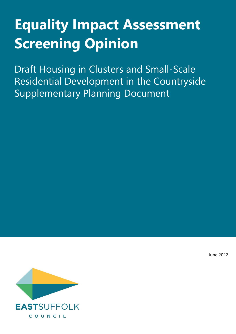# **Equality Impact Assessment Screening Opinion**

Draft Housing in Clusters and Small-Scale Residential Development in the Countryside Supplementary Planning Document

June 2022

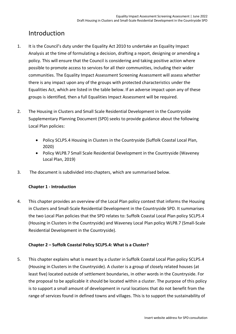# Introduction

- 1. It is the Council's duty under the Equality Act 2010 to undertake an Equality Impact Analysis at the time of formulating a decision, drafting a report, designing or amending a policy. This will ensure that the Council is considering and taking positive action where possible to promote access to services for all their communities, including their wider communities. The Equality Impact Assessment Screening Assessment will assess whether there is any impact upon any of the groups with protected characteristics under the Equalities Act, which are listed in the table below. If an adverse impact upon any of these groups is identified, then a full Equalities Impact Assessment will be required.
- 2. The Housing in Clusters and Small Scale Residential Development in the Countryside Supplementary Planning Document (SPD) seeks to provide guidance about the following Local Plan policies:
	- Policy SCLP5.4 Housing in Clusters in the Countryside (Suffolk Coastal Local Plan, 2020)
	- Policy WLP8.7 Small Scale Residential Development in the Countryside (Waveney Local Plan, 2019)
- 3. The document is subdivided into chapters, which are summarised below.

#### **Chapter 1 - Introduction**

4. This chapter provides an overview of the Local Plan policy context that informs the Housing in Clusters and Small-Scale Residential Development in the Countryside SPD. It summarises the two Local Plan policies that the SPD relates to: Suffolk Coastal Local Plan policy SCLP5.4 (Housing in Clusters in the Countryside) and Waveney Local Plan policy WLP8.7 (Small-Scale Residential Development in the Countryside).

#### **Chapter 2 – Suffolk Coastal Policy SCLP5.4: What is a Cluster?**

5. This chapter explains what is meant by a cluster in Suffolk Coastal Local Plan policy SCLP5.4 (Housing in Clusters in the Countryside). A cluster is a group of closely related houses (at least five) located outside of settlement boundaries, in other words in the Countryside. For the proposal to be applicable it should be located within a cluster. The purpose of this policy is to support a small amount of development in rural locations that do not benefit from the range of services found in defined towns and villages. This is to support the sustainability of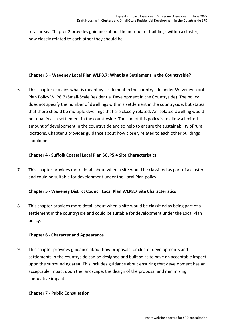rural areas. Chapter 2 provides guidance about the number of buildings within a cluster, how closely related to each other they should be.

#### **Chapter 3 – Waveney Local Plan WLP8.7: What is a Settlement in the Countryside?**

6. This chapter explains what is meant by settlement in the countryside under Waveney Local Plan Policy WLP8.7 (Small-Scale Residential Development in the Countryside). The policy does not specify the number of dwellings within a settlement in the countryside, but states that there should be multiple dwellings that are closely related. An isolated dwelling would not qualify as a settlement in the countryside. The aim of this policy is to allow a limited amount of development in the countryside and so help to ensure the sustainability of rural locations. Chapter 3 provides guidance about how closely related to each other buildings should be.

#### **Chapter 4 - Suffolk Coastal Local Plan SCLP5.4 Site Characteristics**

7. This chapter provides more detail about when a site would be classified as part of a cluster and could be suitable for development under the Local Plan policy.

#### **Chapter 5 - Waveney District Council Local Plan WLP8.7 Site Characteristics**

8. This chapter provides more detail about when a site would be classified as being part of a settlement in the countryside and could be suitable for development under the Local Plan policy.

#### **Chapter 6 - Character and Appearance**

9. This chapter provides guidance about how proposals for cluster developments and settlements in the countryside can be designed and built so as to have an acceptable impact upon the surrounding area. This includes guidance about ensuring that development has an acceptable impact upon the landscape, the design of the proposal and minimising cumulative impact.

#### **Chapter 7 - Public Consultation**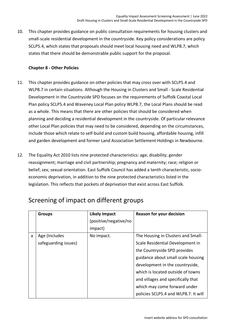10. This chapter provides guidance on public consultation requirements for housing clusters and small-scale residential development in the countryside. Key policy considerations are policy SCLP5.4, which states that proposals should meet local housing need and WLP8.7, which states that there should be demonstrable public support for the proposal.

#### **Chapter 8 - Other Policies**

- 11. This chapter provides guidance on other policies that may cross over with SCLP5.4 and WLP8.7 in certain situations. Although the Housing in Clusters and Small - Scale Residential Development in the Countryside SPD focuses on the requirements of Suffolk Coastal Local Plan policy SCLP5.4 and Waveney Local Plan policy WLP8.7, the Local Plans should be read as a whole. This means that there are other policies that should be considered when planning and deciding a residential development in the countryside. Of particular relevance other Local Plan policies that may need to be considered, depending on the circumstances, include those which relate to self-build and custom build housing, affordable housing, infill and garden development and former Land Association Settlement Holdings in Newbourne.
- 12. The Equality Act 2010 lists nine protected characteristics: age; disability; gender reassignment; marriage and civil partnership; pregnancy and maternity; race; religion or belief; sex; sexual orientation. East Suffolk Council has added a tenth characteristic, socioeconomic deprivation, in addition to the nine protected characteristics listed in the legislation. This reflects that pockets of deprivation that exist across East Suffolk.

|   | <b>Groups</b>        | <b>Likely Impact</b>  | <b>Reason for your decision</b>      |
|---|----------------------|-----------------------|--------------------------------------|
|   |                      | (positive/negative/no |                                      |
|   |                      | impact)               |                                      |
| a | Age (Includes        | No impact.            | The Housing in Clusters and Small-   |
|   | safeguarding issues) |                       | Scale Residential Development in     |
|   |                      |                       | the Countryside SPD provides         |
|   |                      |                       | guidance about small scale housing   |
|   |                      |                       | development in the countryside,      |
|   |                      |                       | which is located outside of towns    |
|   |                      |                       | and villages and specifically that   |
|   |                      |                       | which may come forward under         |
|   |                      |                       | policies SCLP5.4 and WLP8.7. It will |

# Screening of impact on different groups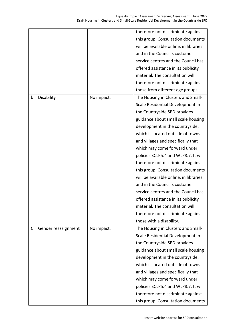|   |                     |            | therefore not discriminate against     |
|---|---------------------|------------|----------------------------------------|
|   |                     |            | this group. Consultation documents     |
|   |                     |            | will be available online, in libraries |
|   |                     |            | and in the Council's customer          |
|   |                     |            | service centres and the Council has    |
|   |                     |            | offered assistance in its publicity    |
|   |                     |            | material. The consultation will        |
|   |                     |            | therefore not discriminate against     |
|   |                     |            | those from different age groups.       |
| b | Disability          | No impact. | The Housing in Clusters and Small-     |
|   |                     |            | Scale Residential Development in       |
|   |                     |            | the Countryside SPD provides           |
|   |                     |            | guidance about small scale housing     |
|   |                     |            | development in the countryside,        |
|   |                     |            | which is located outside of towns      |
|   |                     |            | and villages and specifically that     |
|   |                     |            | which may come forward under           |
|   |                     |            | policies SCLP5.4 and WLP8.7. It will   |
|   |                     |            | therefore not discriminate against     |
|   |                     |            | this group. Consultation documents     |
|   |                     |            | will be available online, in libraries |
|   |                     |            | and in the Council's customer          |
|   |                     |            | service centres and the Council has    |
|   |                     |            | offered assistance in its publicity    |
|   |                     |            | material. The consultation will        |
|   |                     |            | therefore not discriminate against     |
|   |                     |            | those with a disability.               |
| C | Gender reassignment | No impact. | The Housing in Clusters and Small-     |
|   |                     |            | Scale Residential Development in       |
|   |                     |            | the Countryside SPD provides           |
|   |                     |            | guidance about small scale housing     |
|   |                     |            | development in the countryside,        |
|   |                     |            | which is located outside of towns      |
|   |                     |            | and villages and specifically that     |
|   |                     |            | which may come forward under           |
|   |                     |            | policies SCLP5.4 and WLP8.7. It will   |
|   |                     |            | therefore not discriminate against     |
|   |                     |            | this group. Consultation documents     |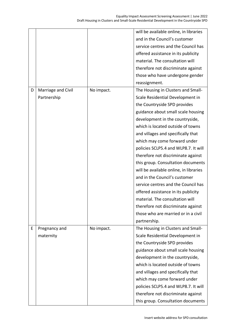|   |                    |            | will be available online, in libraries |
|---|--------------------|------------|----------------------------------------|
|   |                    |            | and in the Council's customer          |
|   |                    |            | service centres and the Council has    |
|   |                    |            | offered assistance in its publicity    |
|   |                    |            | material. The consultation will        |
|   |                    |            | therefore not discriminate against     |
|   |                    |            | those who have undergone gender        |
|   |                    |            | reassignment.                          |
| D | Marriage and Civil | No impact. | The Housing in Clusters and Small-     |
|   | Partnership        |            | Scale Residential Development in       |
|   |                    |            | the Countryside SPD provides           |
|   |                    |            | guidance about small scale housing     |
|   |                    |            | development in the countryside,        |
|   |                    |            | which is located outside of towns      |
|   |                    |            | and villages and specifically that     |
|   |                    |            | which may come forward under           |
|   |                    |            | policies SCLP5.4 and WLP8.7. It will   |
|   |                    |            | therefore not discriminate against     |
|   |                    |            | this group. Consultation documents     |
|   |                    |            | will be available online, in libraries |
|   |                    |            | and in the Council's customer          |
|   |                    |            | service centres and the Council has    |
|   |                    |            | offered assistance in its publicity    |
|   |                    |            | material. The consultation will        |
|   |                    |            | therefore not discriminate against     |
|   |                    |            | those who are married or in a civil    |
|   |                    |            | partnership.                           |
| E | Pregnancy and      | No impact. | The Housing in Clusters and Small-     |
|   | maternity          |            | Scale Residential Development in       |
|   |                    |            | the Countryside SPD provides           |
|   |                    |            | guidance about small scale housing     |
|   |                    |            | development in the countryside,        |
|   |                    |            | which is located outside of towns      |
|   |                    |            | and villages and specifically that     |
|   |                    |            | which may come forward under           |
|   |                    |            | policies SCLP5.4 and WLP8.7. It will   |
|   |                    |            | therefore not discriminate against     |
|   |                    |            | this group. Consultation documents     |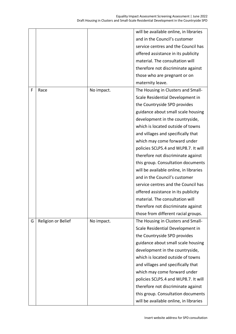|   |                    |            | will be available online, in libraries |
|---|--------------------|------------|----------------------------------------|
|   |                    |            | and in the Council's customer          |
|   |                    |            | service centres and the Council has    |
|   |                    |            | offered assistance in its publicity    |
|   |                    |            | material. The consultation will        |
|   |                    |            | therefore not discriminate against     |
|   |                    |            | those who are pregnant or on           |
|   |                    |            | maternity leave.                       |
| F | Race               | No impact. | The Housing in Clusters and Small-     |
|   |                    |            | Scale Residential Development in       |
|   |                    |            | the Countryside SPD provides           |
|   |                    |            | guidance about small scale housing     |
|   |                    |            | development in the countryside,        |
|   |                    |            | which is located outside of towns      |
|   |                    |            | and villages and specifically that     |
|   |                    |            | which may come forward under           |
|   |                    |            | policies SCLP5.4 and WLP8.7. It will   |
|   |                    |            | therefore not discriminate against     |
|   |                    |            | this group. Consultation documents     |
|   |                    |            | will be available online, in libraries |
|   |                    |            | and in the Council's customer          |
|   |                    |            | service centres and the Council has    |
|   |                    |            | offered assistance in its publicity    |
|   |                    |            | material. The consultation will        |
|   |                    |            | therefore not discriminate against     |
|   |                    |            | those from different racial groups.    |
| G | Religion or Belief | No impact. | The Housing in Clusters and Small-     |
|   |                    |            | Scale Residential Development in       |
|   |                    |            | the Countryside SPD provides           |
|   |                    |            | guidance about small scale housing     |
|   |                    |            | development in the countryside,        |
|   |                    |            | which is located outside of towns      |
|   |                    |            | and villages and specifically that     |
|   |                    |            | which may come forward under           |
|   |                    |            | policies SCLP5.4 and WLP8.7. It will   |
|   |                    |            | therefore not discriminate against     |
|   |                    |            | this group. Consultation documents     |
|   |                    |            | will be available online, in libraries |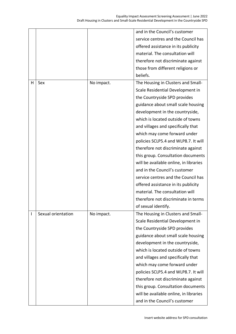|   |                    |            | and in the Council's customer          |
|---|--------------------|------------|----------------------------------------|
|   |                    |            | service centres and the Council has    |
|   |                    |            | offered assistance in its publicity    |
|   |                    |            | material. The consultation will        |
|   |                    |            | therefore not discriminate against     |
|   |                    |            | those from different religions or      |
|   |                    |            | beliefs.                               |
| н | Sex                | No impact. | The Housing in Clusters and Small-     |
|   |                    |            | Scale Residential Development in       |
|   |                    |            | the Countryside SPD provides           |
|   |                    |            | guidance about small scale housing     |
|   |                    |            | development in the countryside,        |
|   |                    |            | which is located outside of towns      |
|   |                    |            | and villages and specifically that     |
|   |                    |            | which may come forward under           |
|   |                    |            | policies SCLP5.4 and WLP8.7. It will   |
|   |                    |            | therefore not discriminate against     |
|   |                    |            | this group. Consultation documents     |
|   |                    |            | will be available online, in libraries |
|   |                    |            | and in the Council's customer          |
|   |                    |            | service centres and the Council has    |
|   |                    |            | offered assistance in its publicity    |
|   |                    |            | material. The consultation will        |
|   |                    |            | therefore not discriminate in terms    |
|   |                    |            | of sexual identify.                    |
| I | Sexual orientation | No impact. | The Housing in Clusters and Small-     |
|   |                    |            | Scale Residential Development in       |
|   |                    |            | the Countryside SPD provides           |
|   |                    |            | guidance about small scale housing     |
|   |                    |            | development in the countryside,        |
|   |                    |            | which is located outside of towns      |
|   |                    |            | and villages and specifically that     |
|   |                    |            | which may come forward under           |
|   |                    |            | policies SCLP5.4 and WLP8.7. It will   |
|   |                    |            | therefore not discriminate against     |
|   |                    |            | this group. Consultation documents     |
|   |                    |            | will be available online, in libraries |
|   |                    |            | and in the Council's customer          |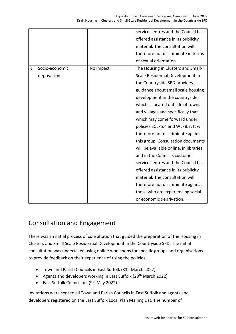|   |                |            | service centres and the Council has    |
|---|----------------|------------|----------------------------------------|
|   |                |            | offered assistance in its publicity    |
|   |                |            | material. The consultation will        |
|   |                |            | therefore not discriminate in terms    |
|   |                |            | of sexual orientation.                 |
| J | Socio-economic | No impact. | The Housing in Clusters and Small-     |
|   | deprivation    |            | Scale Residential Development in       |
|   |                |            | the Countryside SPD provides           |
|   |                |            | guidance about small scale housing     |
|   |                |            | development in the countryside,        |
|   |                |            | which is located outside of towns      |
|   |                |            | and villages and specifically that     |
|   |                |            | which may come forward under           |
|   |                |            | policies SCLP5.4 and WLP8.7. It will   |
|   |                |            | therefore not discriminate against     |
|   |                |            | this group. Consultation documents     |
|   |                |            | will be available online, in libraries |
|   |                |            | and in the Council's customer          |
|   |                |            | service centres and the Council has    |
|   |                |            | offered assistance in its publicity    |
|   |                |            | material. The consultation will        |
|   |                |            | therefore not discriminate against     |
|   |                |            | those who are experiencing social      |
|   |                |            | or economic deprivation.               |

## Consultation and Engagement

There was an initial process of consultation that guided the preparation of the Housing in Clusters and Small Scale Residential Development in the Countryside SPD. The initial consultation was undertaken using online workshops for specific groups and organisations to provide feedback on their experience of using the policies:

- Town and Parish Councils in East Suffolk (31<sup>st</sup> March 2022)
- Agents and developers working in East Suffolk (28<sup>th</sup> March 2022)
- East Suffolk Councillors (9<sup>th</sup> May 2022)

Invitations were sent to all Town and Parish Councils in East Suffolk and agents and developers registered on the East Suffolk Local Plan Mailing List. The number of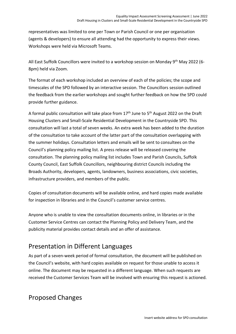representatives was limited to one per Town or Parish Council or one per organisation (agents & developers) to ensure all attending had the opportunity to express their views. Workshops were held via Microsoft Teams.

All East Suffolk Councillors were invited to a workshop session on Monday  $9<sup>th</sup>$  May 2022 (6-8pm) held via Zoom.

The format of each workshop included an overview of each of the policies; the scope and timescales of the SPD followed by an interactive session. The Councillors session outlined the feedback from the earlier workshops and sought further feedback on how the SPD could provide further guidance.

A formal public consultation will take place from 17<sup>th</sup> June to 5<sup>th</sup> August 2022 on the Draft Housing Clusters and Small-Scale Residential Development in the Countryside SPD. This consultation will last a total of seven weeks. An extra week has been added to the duration of the consultation to take account of the latter part of the consultation overlapping with the summer holidays. Consultation letters and emails will be sent to consultees on the Council's planning policy mailing list. A press release will be released covering the consultation. The planning policy mailing list includes Town and Parish Councils, Suffolk County Council, East Suffolk Councillors, neighbouring district Councils including the Broads Authority, developers, agents, landowners, business associations, civic societies, infrastructure providers, and members of the public.

Copies of consultation documents will be available online, and hard copies made available for inspection in libraries and in the Council's customer service centres.

Anyone who is unable to view the consultation documents online, in libraries or in the Customer Service Centres can contact the Planning Policy and Delivery Team, and the publicity material provides contact details and an offer of assistance.

## Presentation in Different Languages

As part of a seven-week period of formal consultation, the document will be published on the Council's website, with hard copies available on request for those unable to access it online. The document may be requested in a different language. When such requests are received the Customer Services Team will be involved with ensuring this request is actioned.

# Proposed Changes